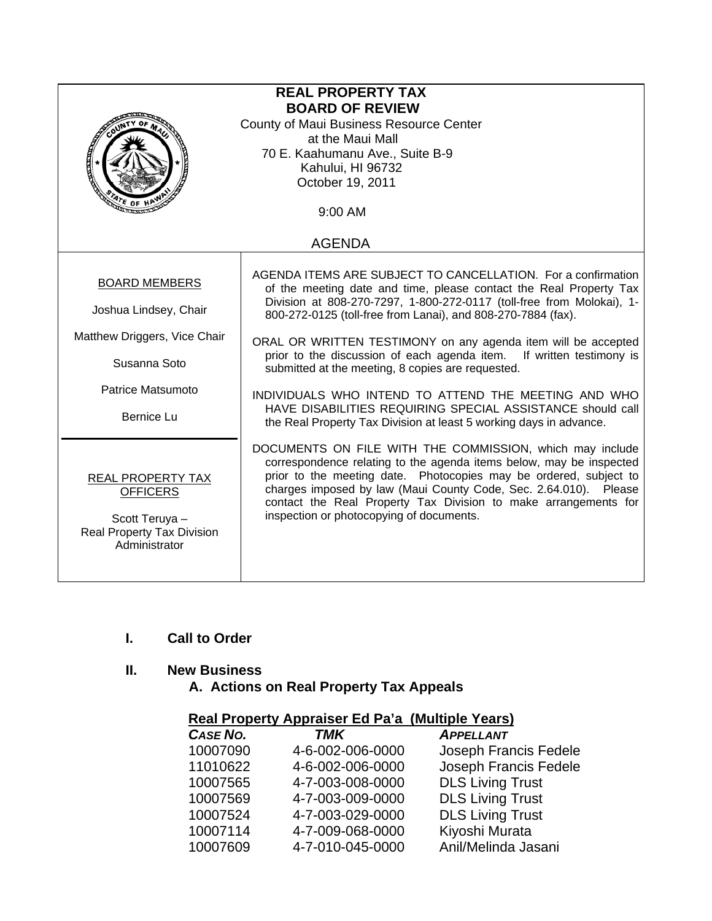| <b>REAL PROPERTY TAX</b>                                                                                     |                                                                                                                                                                                                                                                                                                                                                                                         |  |  |  |
|--------------------------------------------------------------------------------------------------------------|-----------------------------------------------------------------------------------------------------------------------------------------------------------------------------------------------------------------------------------------------------------------------------------------------------------------------------------------------------------------------------------------|--|--|--|
| <b>BOARD OF REVIEW</b>                                                                                       |                                                                                                                                                                                                                                                                                                                                                                                         |  |  |  |
| County of Maui Business Resource Center<br>at the Maui Mall                                                  |                                                                                                                                                                                                                                                                                                                                                                                         |  |  |  |
| 70 E. Kaahumanu Ave., Suite B-9                                                                              |                                                                                                                                                                                                                                                                                                                                                                                         |  |  |  |
|                                                                                                              | Kahului, HI 96732                                                                                                                                                                                                                                                                                                                                                                       |  |  |  |
| October 19, 2011                                                                                             |                                                                                                                                                                                                                                                                                                                                                                                         |  |  |  |
| $4r_E$ of                                                                                                    |                                                                                                                                                                                                                                                                                                                                                                                         |  |  |  |
|                                                                                                              | 9:00 AM                                                                                                                                                                                                                                                                                                                                                                                 |  |  |  |
| <b>AGENDA</b>                                                                                                |                                                                                                                                                                                                                                                                                                                                                                                         |  |  |  |
|                                                                                                              |                                                                                                                                                                                                                                                                                                                                                                                         |  |  |  |
| <b>BOARD MEMBERS</b>                                                                                         | AGENDA ITEMS ARE SUBJECT TO CANCELLATION. For a confirmation<br>of the meeting date and time, please contact the Real Property Tax                                                                                                                                                                                                                                                      |  |  |  |
| Joshua Lindsey, Chair                                                                                        | Division at 808-270-7297, 1-800-272-0117 (toll-free from Molokai), 1-<br>800-272-0125 (toll-free from Lanai), and 808-270-7884 (fax).                                                                                                                                                                                                                                                   |  |  |  |
| Matthew Driggers, Vice Chair                                                                                 | ORAL OR WRITTEN TESTIMONY on any agenda item will be accepted                                                                                                                                                                                                                                                                                                                           |  |  |  |
| Susanna Soto                                                                                                 | prior to the discussion of each agenda item. If written testimony is<br>submitted at the meeting, 8 copies are requested.                                                                                                                                                                                                                                                               |  |  |  |
| Patrice Matsumoto                                                                                            | INDIVIDUALS WHO INTEND TO ATTEND THE MEETING AND WHO                                                                                                                                                                                                                                                                                                                                    |  |  |  |
|                                                                                                              | HAVE DISABILITIES REQUIRING SPECIAL ASSISTANCE should call                                                                                                                                                                                                                                                                                                                              |  |  |  |
| <b>Bernice Lu</b>                                                                                            | the Real Property Tax Division at least 5 working days in advance.                                                                                                                                                                                                                                                                                                                      |  |  |  |
| <b>REAL PROPERTY TAX</b><br><b>OFFICERS</b><br>Scott Teruya -<br>Real Property Tax Division<br>Administrator | DOCUMENTS ON FILE WITH THE COMMISSION, which may include<br>correspondence relating to the agenda items below, may be inspected<br>prior to the meeting date. Photocopies may be ordered, subject to<br>charges imposed by law (Maui County Code, Sec. 2.64.010). Please<br>contact the Real Property Tax Division to make arrangements for<br>inspection or photocopying of documents. |  |  |  |

# **I. Call to Order**

### **II. New Business**

 **A. Actions on Real Property Tax Appeals** 

| <b>Real Property Appraiser Ed Pa'a (Multiple Years)</b> |                  |                         |  |  |
|---------------------------------------------------------|------------------|-------------------------|--|--|
| CASE NO.                                                | <b>TMK</b>       | <b>APPELLANT</b>        |  |  |
| 10007090                                                | 4-6-002-006-0000 | Joseph Francis Fedele   |  |  |
| 11010622                                                | 4-6-002-006-0000 | Joseph Francis Fedele   |  |  |
| 10007565                                                | 4-7-003-008-0000 | <b>DLS Living Trust</b> |  |  |
| 10007569                                                | 4-7-003-009-0000 | <b>DLS Living Trust</b> |  |  |
| 10007524                                                | 4-7-003-029-0000 | <b>DLS Living Trust</b> |  |  |
| 10007114                                                | 4-7-009-068-0000 | Kiyoshi Murata          |  |  |
| 10007609                                                | 4-7-010-045-0000 | Anil/Melinda Jasani     |  |  |